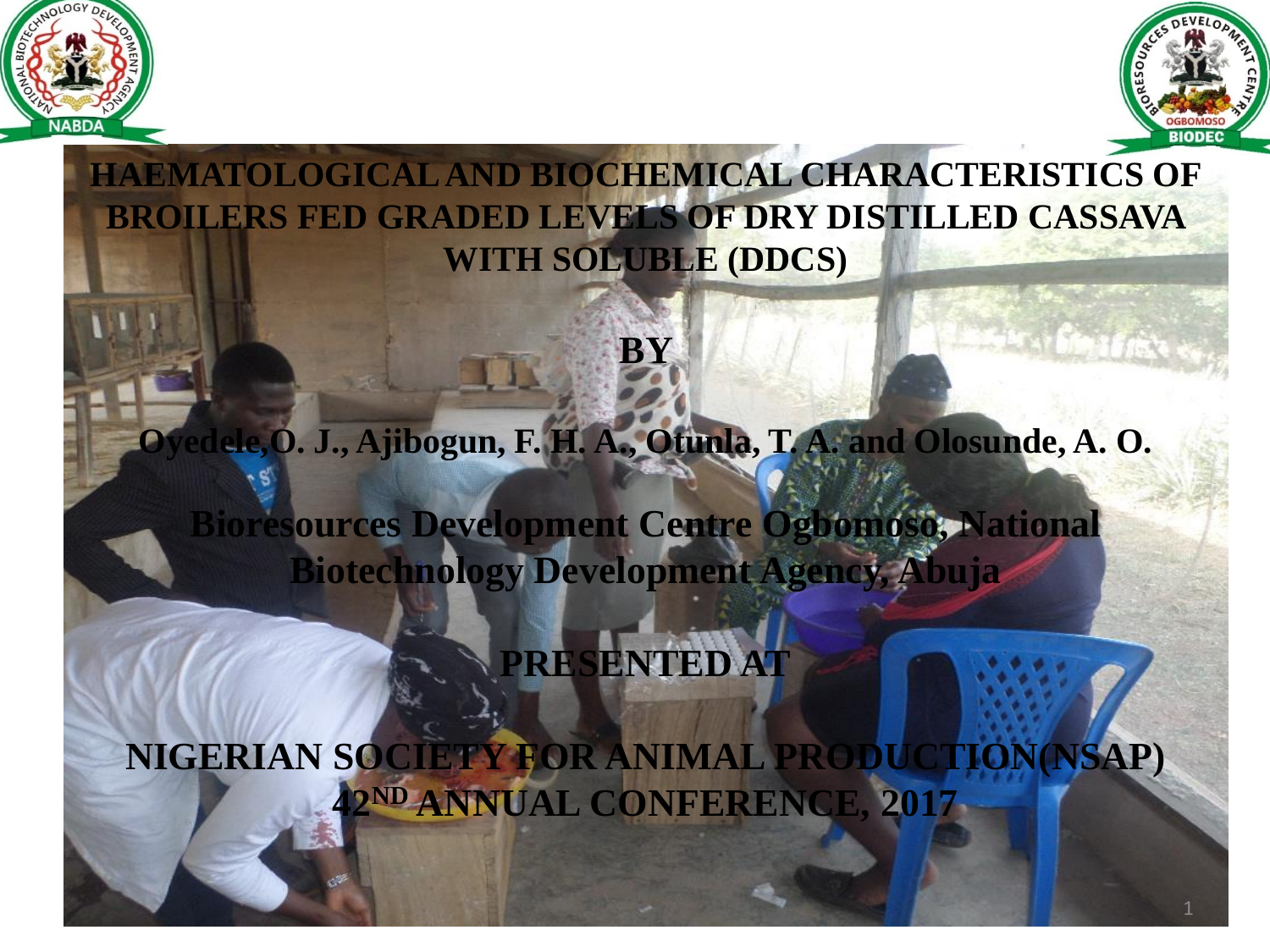



**HAEMATOLOGICAL AND BIOCHEMICAL CHARACTERISTICS OF BROILERS FED GRADED LEVELS OF DRY DISTILLED CASSAVA WITH SOLUBLE (DDCS)**

**BY** 

#### **Oyedele,O. J., Ajibogun, F. H. A., Otunla, T. A. and Olosunde, A. O.**

**Bioresources Development Centre Ogbomoso, National Biotechnology Development Agency, Abuja**

**PRESENTED AT**

**NIGERIAN SOCIETY FOR ANIMAL PRODUCTION(NSAP) 42ND ANNUAL CONFERENCE, 2017**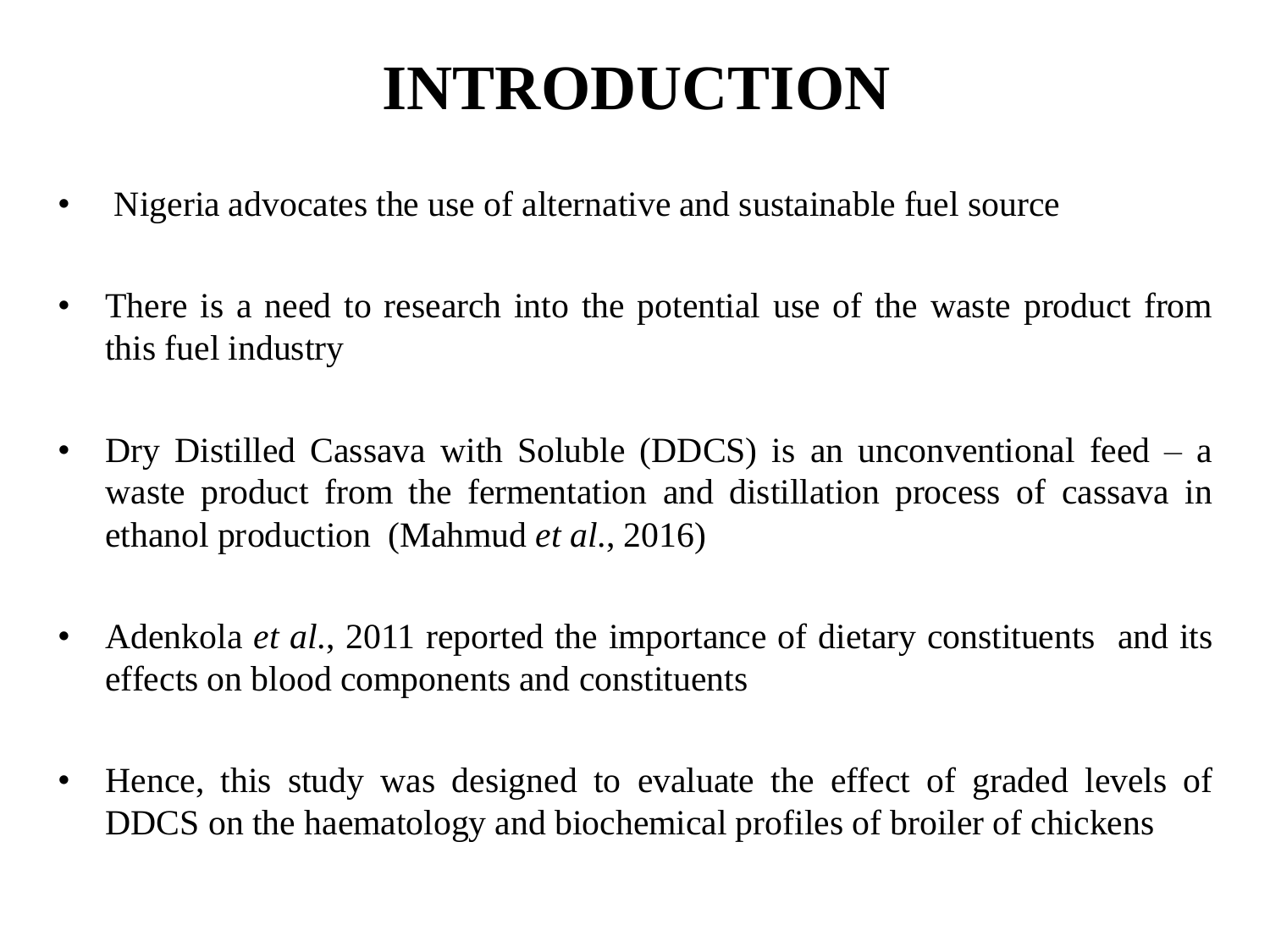## **INTRODUCTION**

- Nigeria advocates the use of alternative and sustainable fuel source
- There is a need to research into the potential use of the waste product from this fuel industry
- Dry Distilled Cassava with Soluble (DDCS) is an unconventional feed a waste product from the fermentation and distillation process of cassava in ethanol production (Mahmud *et al*., 2016)
- Adenkola *et al*., 2011 reported the importance of dietary constituents and its effects on blood components and constituents
- Hence, this study was designed to evaluate the effect of graded levels of DDCS on the haematology and biochemical profiles of broiler of chickens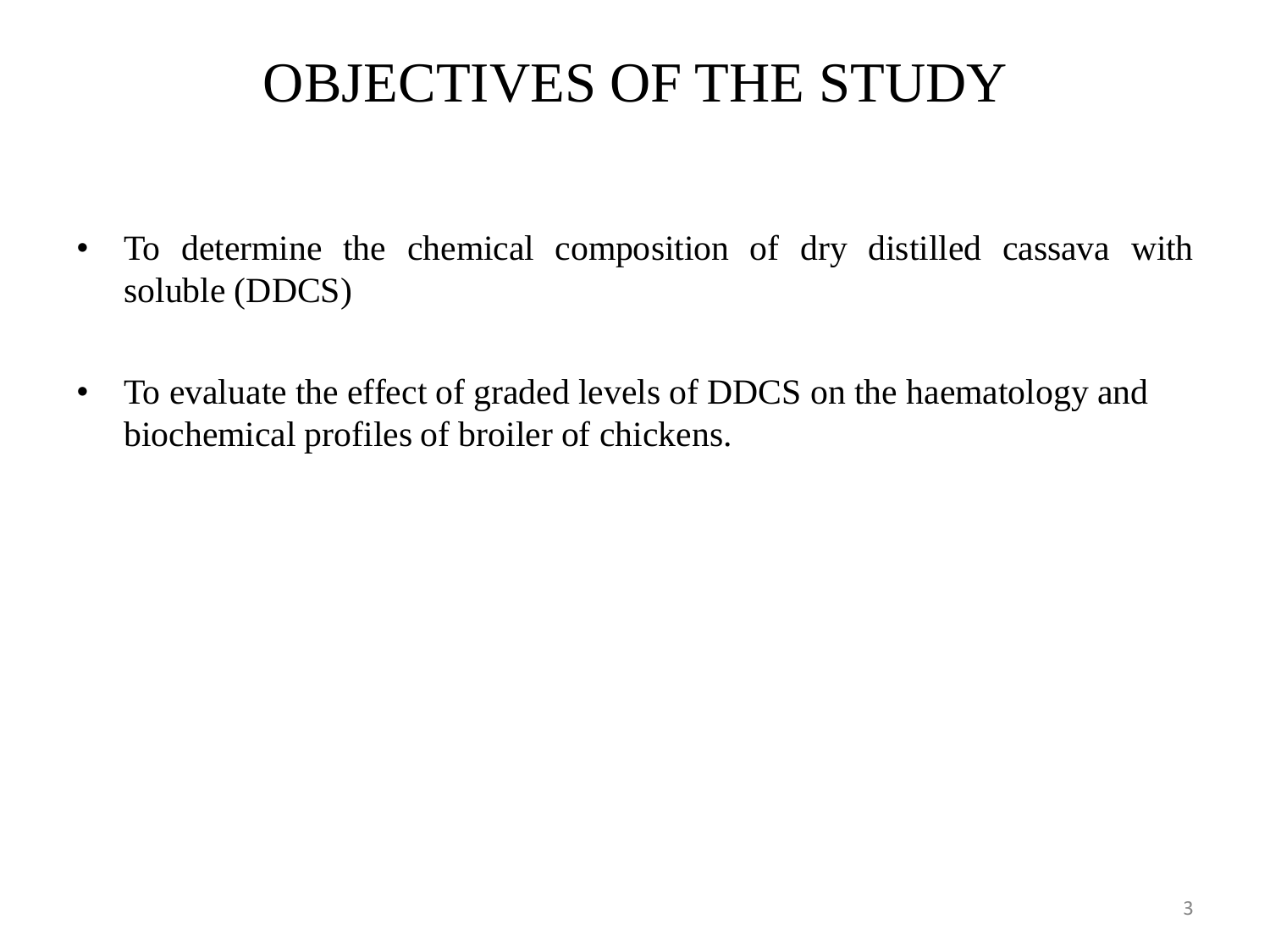## OBJECTIVES OF THE STUDY

- To determine the chemical composition of dry distilled cassava with soluble (DDCS)
- To evaluate the effect of graded levels of DDCS on the haematology and biochemical profiles of broiler of chickens.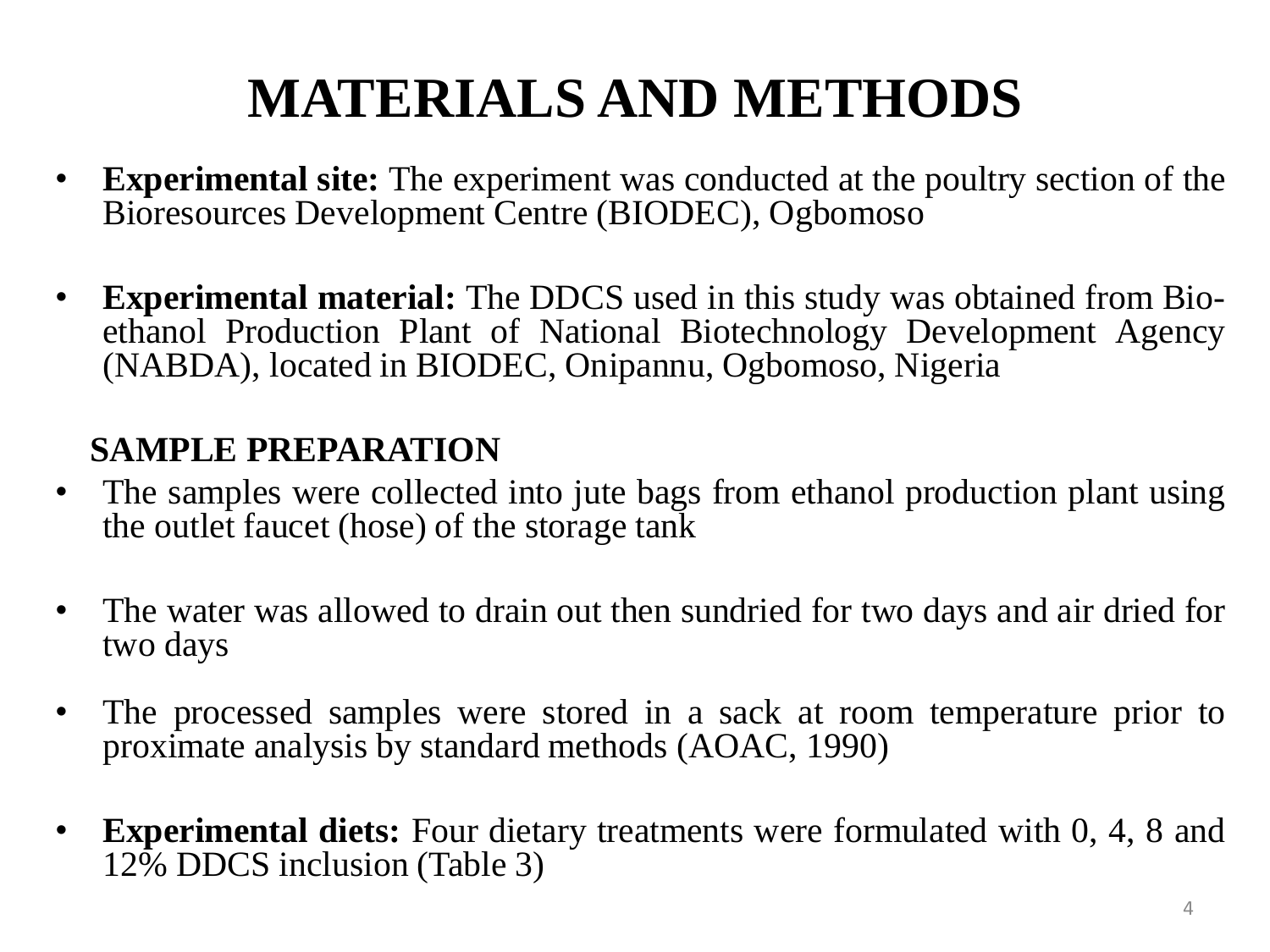## **MATERIALS AND METHODS**

- **Experimental site:** The experiment was conducted at the poultry section of the Bioresources Development Centre (BIODEC), Ogbomoso
- **Experimental material:** The DDCS used in this study was obtained from Bioethanol Production Plant of National Biotechnology Development Agency (NABDA), located in BIODEC, Onipannu, Ogbomoso, Nigeria

#### **SAMPLE PREPARATION**

- The samples were collected into jute bags from ethanol production plant using the outlet faucet (hose) of the storage tank
- The water was allowed to drain out then sundried for two days and air dried for two days
- The processed samples were stored in a sack at room temperature prior to proximate analysis by standard methods (AOAC, 1990)
- **Experimental diets:** Four dietary treatments were formulated with 0, 4, 8 and 12% DDCS inclusion (Table 3)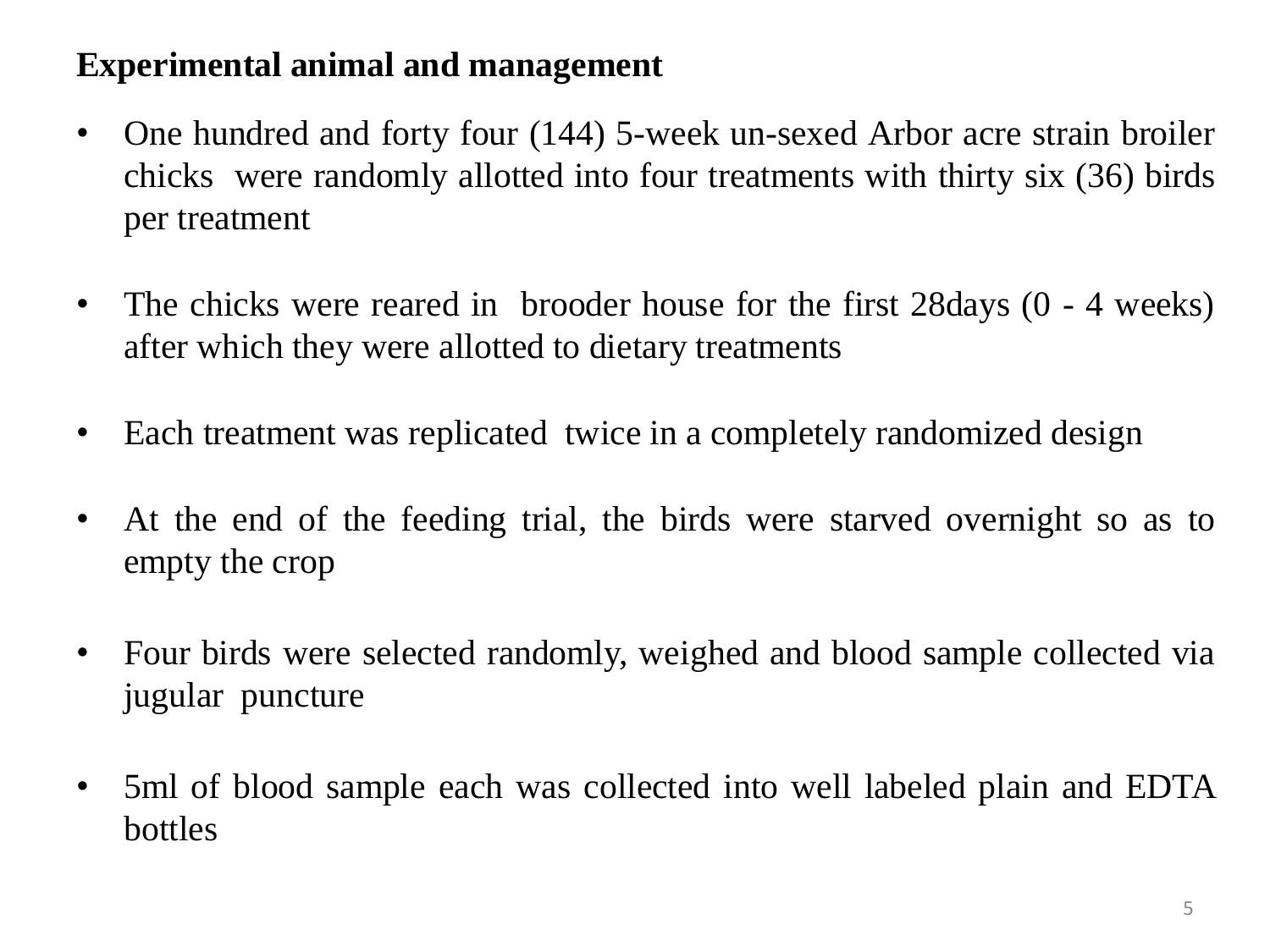#### **Experimental animal and management**

- One hundred and forty four (144) 5-week un-sexed Arbor acre strain broiler chicks were randomly allotted into four treatments with thirty six (36) birds per treatment
- The chicks were reared in brooder house for the first 28 days (0 4 weeks) after which they were allotted to dietary treatments
- Each treatment was replicated twice in a completely randomized design
- At the end of the feeding trial, the birds were starved overnight so as to empty the crop
- Four birds were selected randomly, weighed and blood sample collected via jugular puncture
- 5ml of blood sample each was collected into well labeled plain and EDTA bottles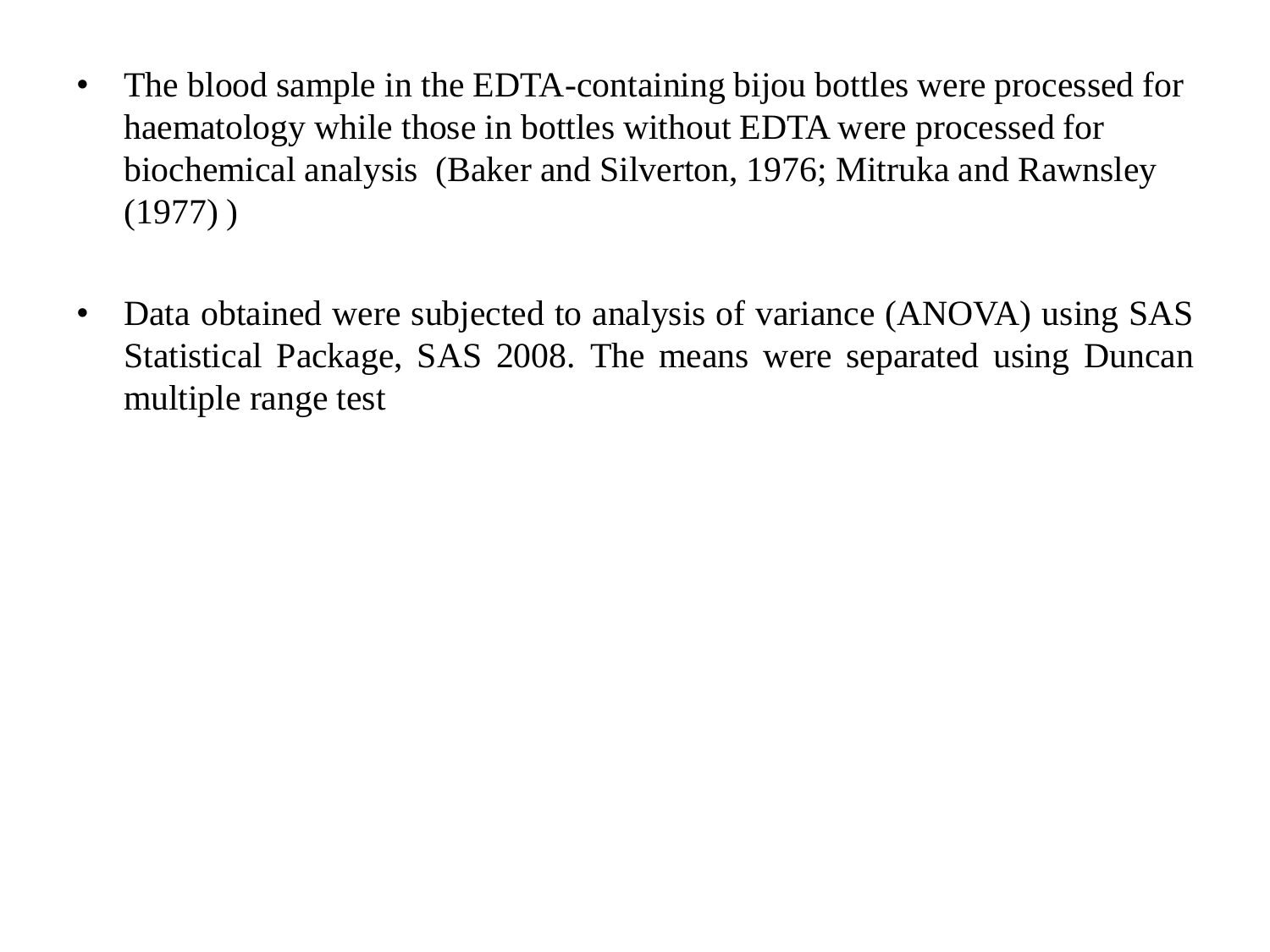- The blood sample in the EDTA-containing bijou bottles were processed for haematology while those in bottles without EDTA were processed for biochemical analysis (Baker and Silverton, 1976; Mitruka and Rawnsley (1977) )
- Data obtained were subjected to analysis of variance (ANOVA) using SAS Statistical Package, SAS 2008. The means were separated using Duncan multiple range test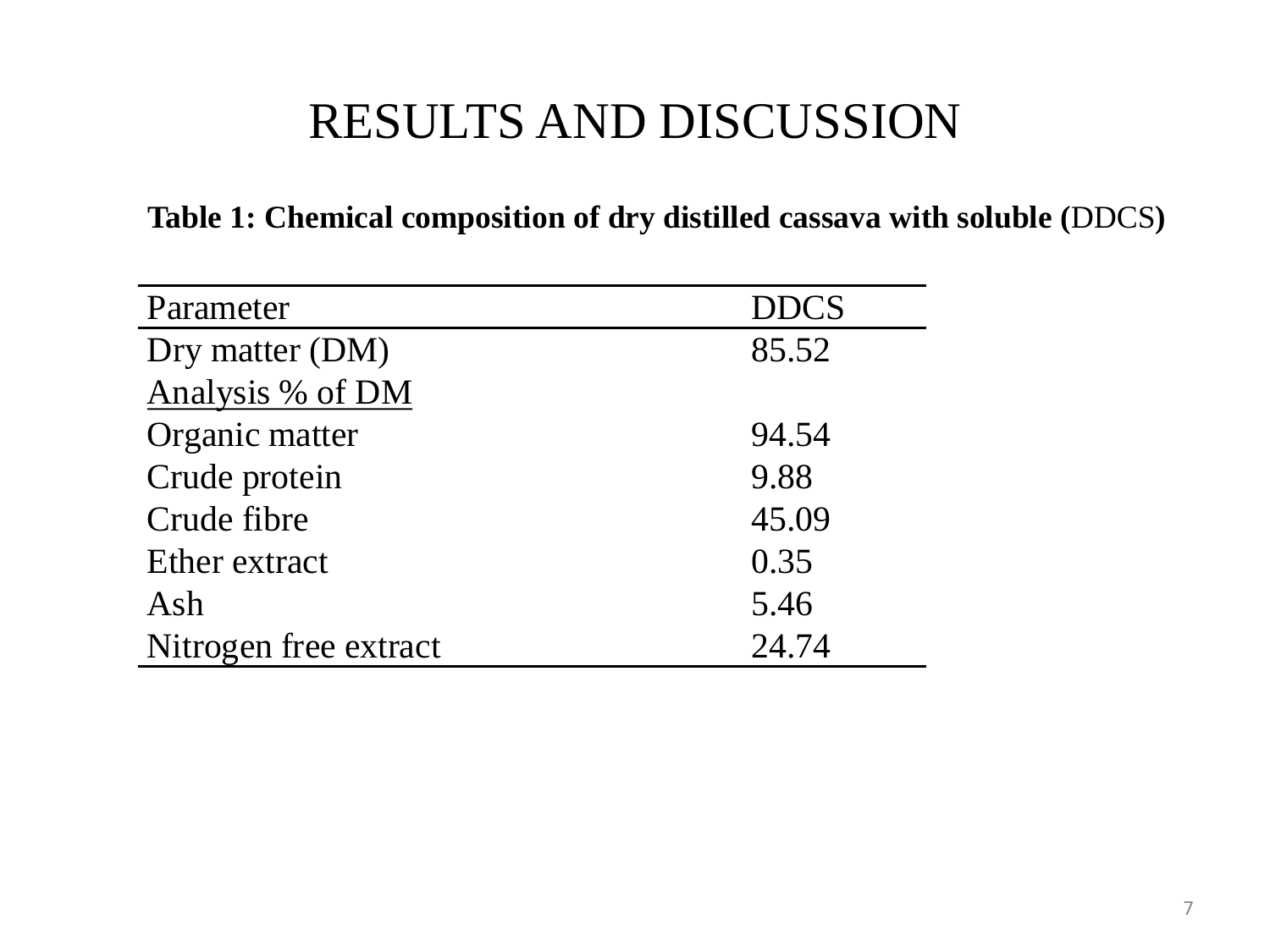### RESULTS AND DISCUSSION

#### **Table 1: Chemical composition of dry distilled cassava with soluble (**DDCS**)**

| Parameter             | <b>DDCS</b> |
|-----------------------|-------------|
| Dry matter (DM)       | 85.52       |
| Analysis % of DM      |             |
| Organic matter        | 94.54       |
| Crude protein         | 9.88        |
| Crude fibre           | 45.09       |
| Ether extract         | 0.35        |
| Ash                   | 5.46        |
| Nitrogen free extract | 24.74       |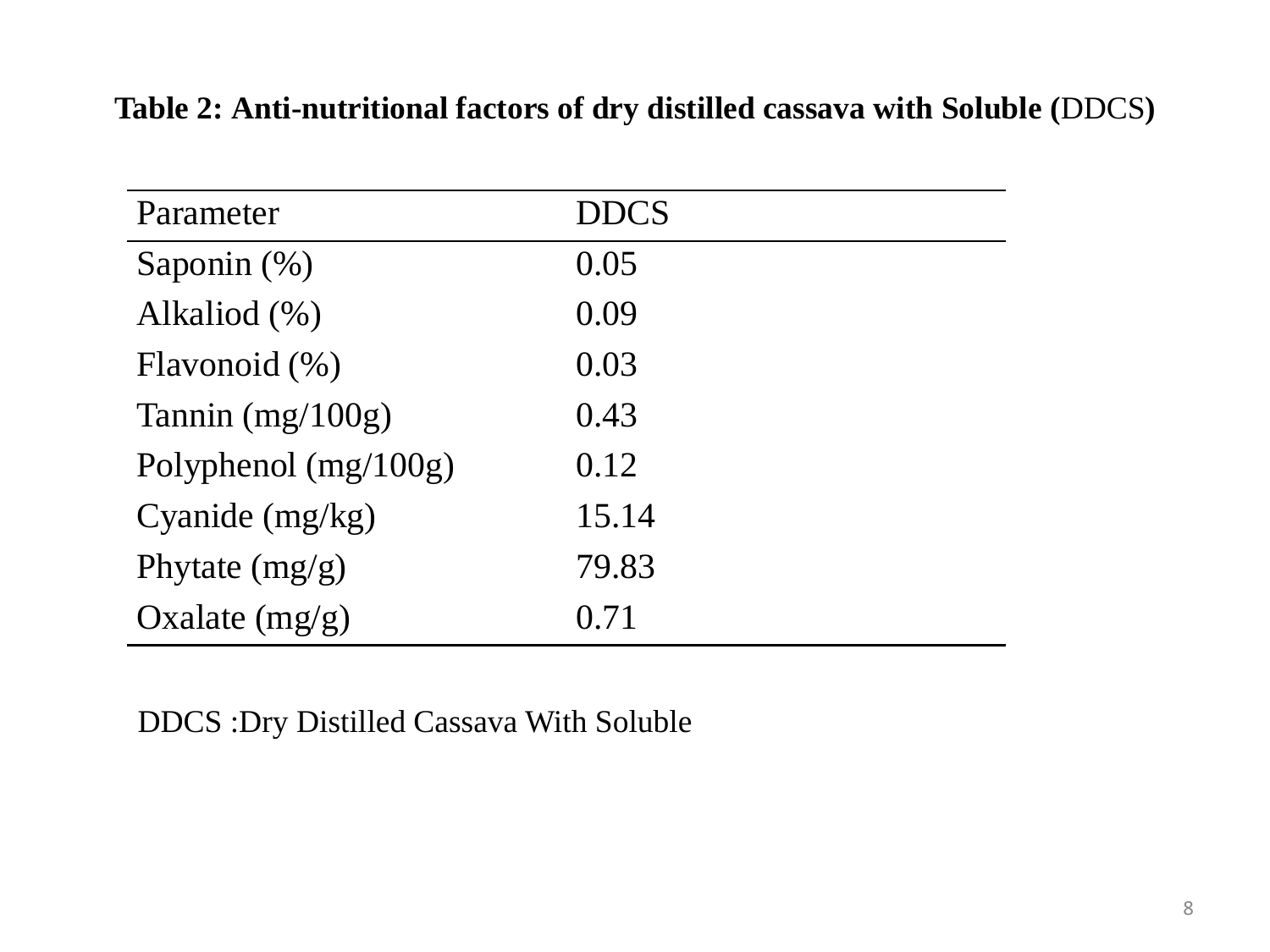| Parameter              | <b>DDCS</b> |
|------------------------|-------------|
| Saponin $(\%)$         | 0.05        |
| Alkaliod (%)           | 0.09        |
| Flavonoid $(\% )$      | 0.03        |
| Tannin $(mg/100g)$     | 0.43        |
| Polyphenol $(mg/100g)$ | 0.12        |
| Cyanide (mg/kg)        | 15.14       |
| Phytate $(mg/g)$       | 79.83       |
| Oxalate $(mg/g)$       | 0.71        |

#### **Table 2: Anti-nutritional factors of dry distilled cassava with Soluble (**DDCS**)**

DDCS :Dry Distilled Cassava With Soluble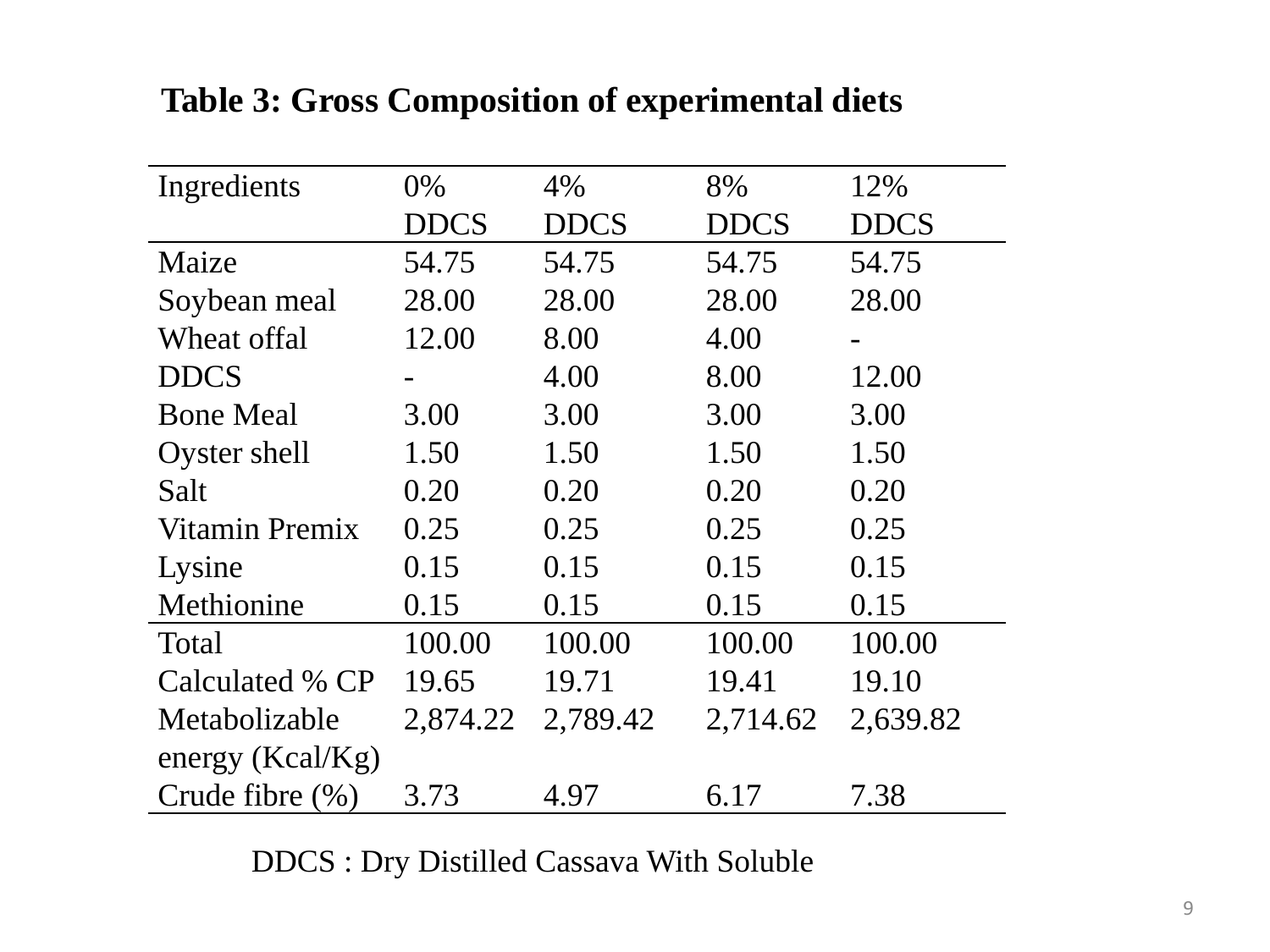| Ingredients         | $0\%$       | 4%          | 8%          | 12%         |
|---------------------|-------------|-------------|-------------|-------------|
|                     | <b>DDCS</b> | <b>DDCS</b> | <b>DDCS</b> | <b>DDCS</b> |
| Maize               | 54.75       | 54.75       | 54.75       | 54.75       |
| Soybean meal        | 28.00       | 28.00       | 28.00       | 28.00       |
| Wheat offal         | 12.00       | 8.00        | 4.00        |             |
| <b>DDCS</b>         |             | 4.00        | 8.00        | 12.00       |
| <b>Bone Meal</b>    | 3.00        | 3.00        | 3.00        | 3.00        |
| Oyster shell        | 1.50        | 1.50        | 1.50        | 1.50        |
| Salt                | 0.20        | 0.20        | 0.20        | 0.20        |
| Vitamin Premix      | 0.25        | 0.25        | 0.25        | 0.25        |
| Lysine              | 0.15        | 0.15        | 0.15        | 0.15        |
| Methionine          | 0.15        | 0.15        | 0.15        | 0.15        |
| Total               | 100.00      | 100.00      | 100.00      | 100.00      |
| Calculated % CP     | 19.65       | 19.71       | 19.41       | 19.10       |
| Metabolizable       | 2,874.22    | 2,789.42    | 2,714.62    | 2,639.82    |
| energy $(Kcal/Kg)$  |             |             |             |             |
| Crude fibre $(\% )$ | 3.73        | 4.97        | 6.17        | 7.38        |

#### **Table 3: Gross Composition of experimental diets**

DDCS : Dry Distilled Cassava With Soluble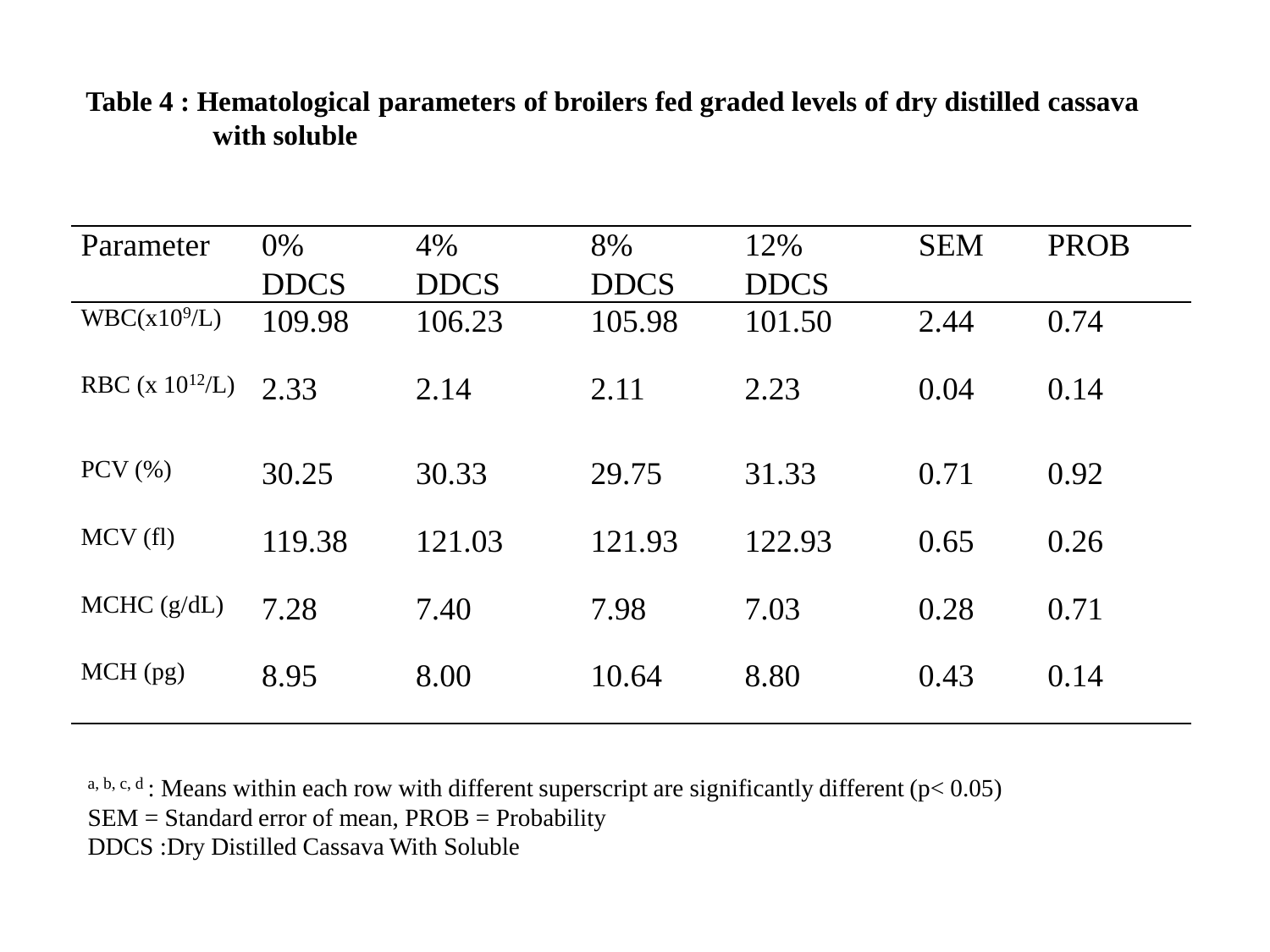| Parameter                | $0\%$       | 4%          | 8%          | 12%         | <b>SEM</b> | <b>PROB</b> |
|--------------------------|-------------|-------------|-------------|-------------|------------|-------------|
|                          | <b>DDCS</b> | <b>DDCS</b> | <b>DDCS</b> | <b>DDCS</b> |            |             |
| WBC(x10 <sup>9</sup> /L) | 109.98      | 106.23      | 105.98      | 101.50      | 2.44       | 0.74        |
| RBC (x $10^{12}/L$ )     | 2.33        | 2.14        | 2.11        | 2.23        | 0.04       | 0.14        |
| $PCV$ $(\% )$            | 30.25       | 30.33       | 29.75       | 31.33       | 0.71       | 0.92        |
| MCV(f)                   | 119.38      | 121.03      | 121.93      | 122.93      | 0.65       | 0.26        |
| MCHC (g/dL)              | 7.28        | 7.40        | 7.98        | 7.03        | 0.28       | 0.71        |
| $MCH$ (pg)               | 8.95        | 8.00        | 10.64       | 8.80        | 0.43       | 0.14        |

#### **Table 4 : Hematological parameters of broilers fed graded levels of dry distilled cassava with soluble**

a, b, c, d : Means within each row with different superscript are significantly different ( $p$ < 0.05) SEM = Standard error of mean, PROB = Probability

DDCS :Dry Distilled Cassava With Soluble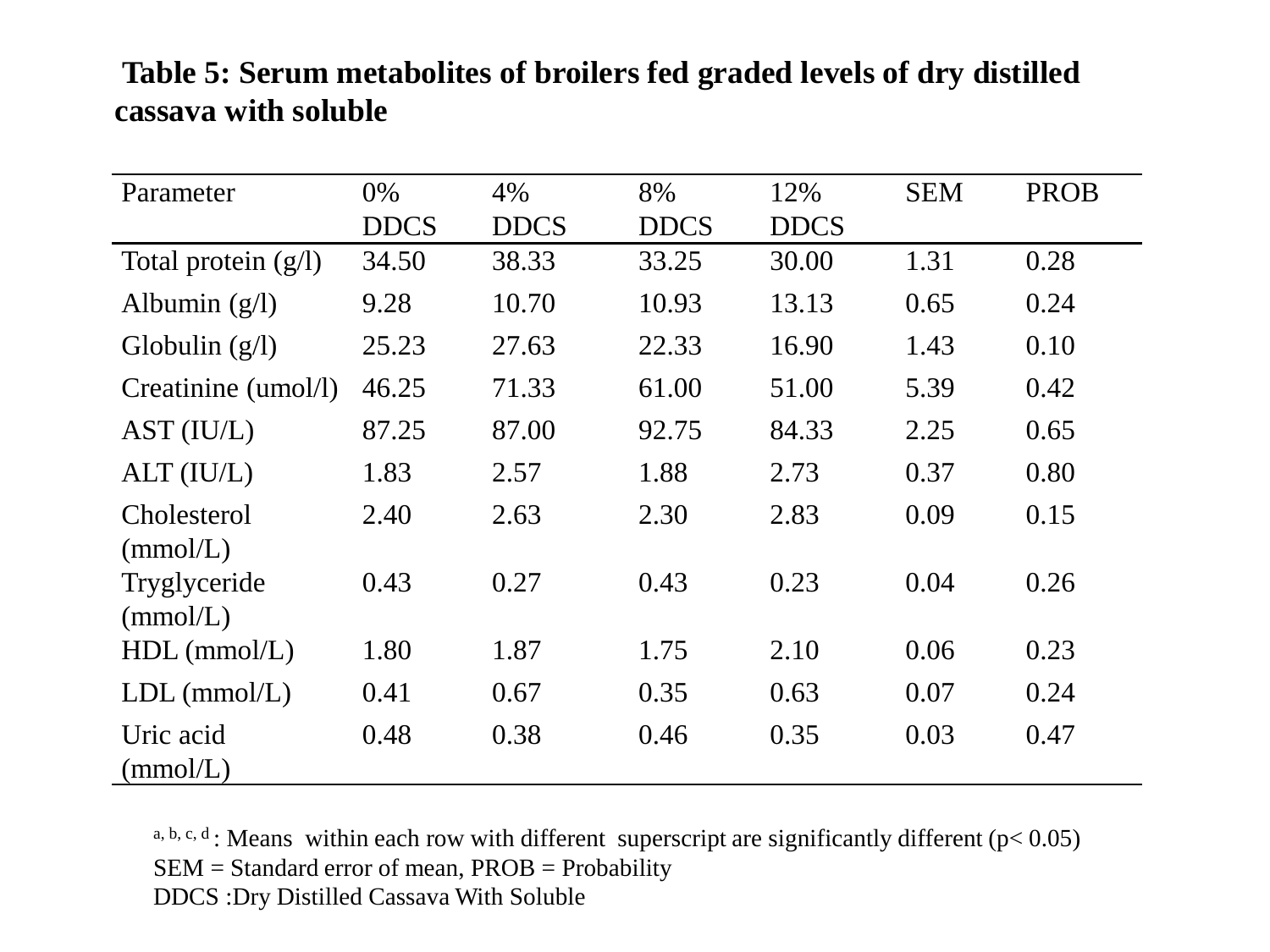#### **Table 5: Serum metabolites of broilers fed graded levels of dry distilled cassava with soluble**

| Parameter                | 0%          | 4%          | 8%          | 12%         | <b>SEM</b> | <b>PROB</b> |
|--------------------------|-------------|-------------|-------------|-------------|------------|-------------|
|                          | <b>DDCS</b> | <b>DDCS</b> | <b>DDCS</b> | <b>DDCS</b> |            |             |
| Total protein $(g/l)$    | 34.50       | 38.33       | 33.25       | 30.00       | 1.31       | 0.28        |
| Albumin $(g/l)$          | 9.28        | 10.70       | 10.93       | 13.13       | 0.65       | 0.24        |
| Globulin $(g/l)$         | 25.23       | 27.63       | 22.33       | 16.90       | 1.43       | 0.10        |
| Creatinine (umol/l)      | 46.25       | 71.33       | 61.00       | 51.00       | 5.39       | 0.42        |
| AST (IU/L)               | 87.25       | 87.00       | 92.75       | 84.33       | 2.25       | 0.65        |
| ALT (IU/L)               | 1.83        | 2.57        | 1.88        | 2.73        | 0.37       | 0.80        |
| Cholesterol<br>(mmol/L)  | 2.40        | 2.63        | 2.30        | 2.83        | 0.09       | 0.15        |
| Tryglyceride<br>(mmol/L) | 0.43        | 0.27        | 0.43        | 0.23        | 0.04       | 0.26        |
| $HDL$ (mmol/L)           | 1.80        | 1.87        | 1.75        | 2.10        | 0.06       | 0.23        |
| $LDL$ (mmol/ $L$ )       | 0.41        | 0.67        | 0.35        | 0.63        | 0.07       | 0.24        |
| Uric acid<br>(mmol/L)    | 0.48        | 0.38        | 0.46        | 0.35        | 0.03       | 0.47        |

a, b, c, d : Means within each row with different superscript are significantly different ( $p < 0.05$ ) SEM = Standard error of mean, PROB = Probability DDCS :Dry Distilled Cassava With Soluble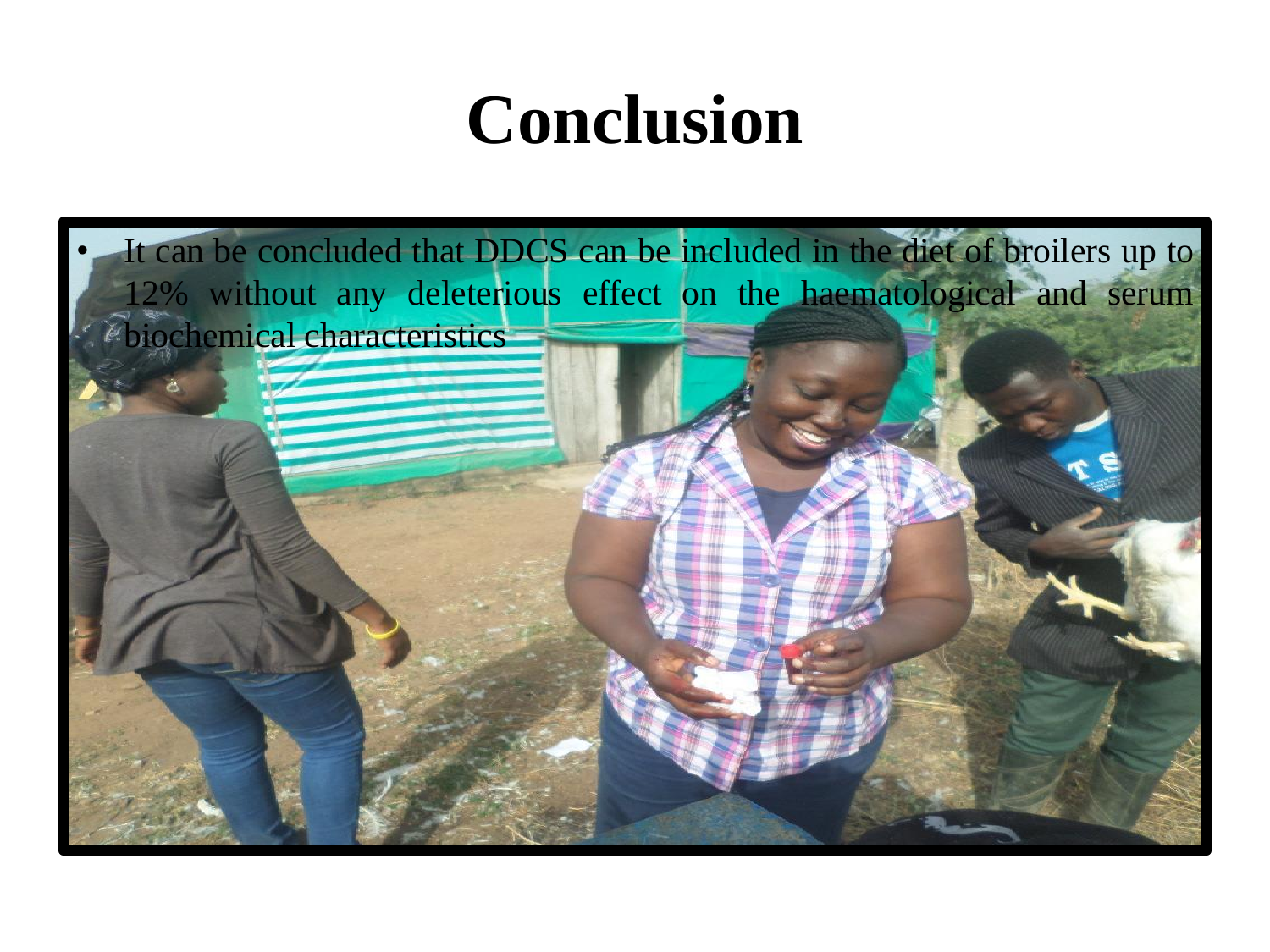## **Conclusion**

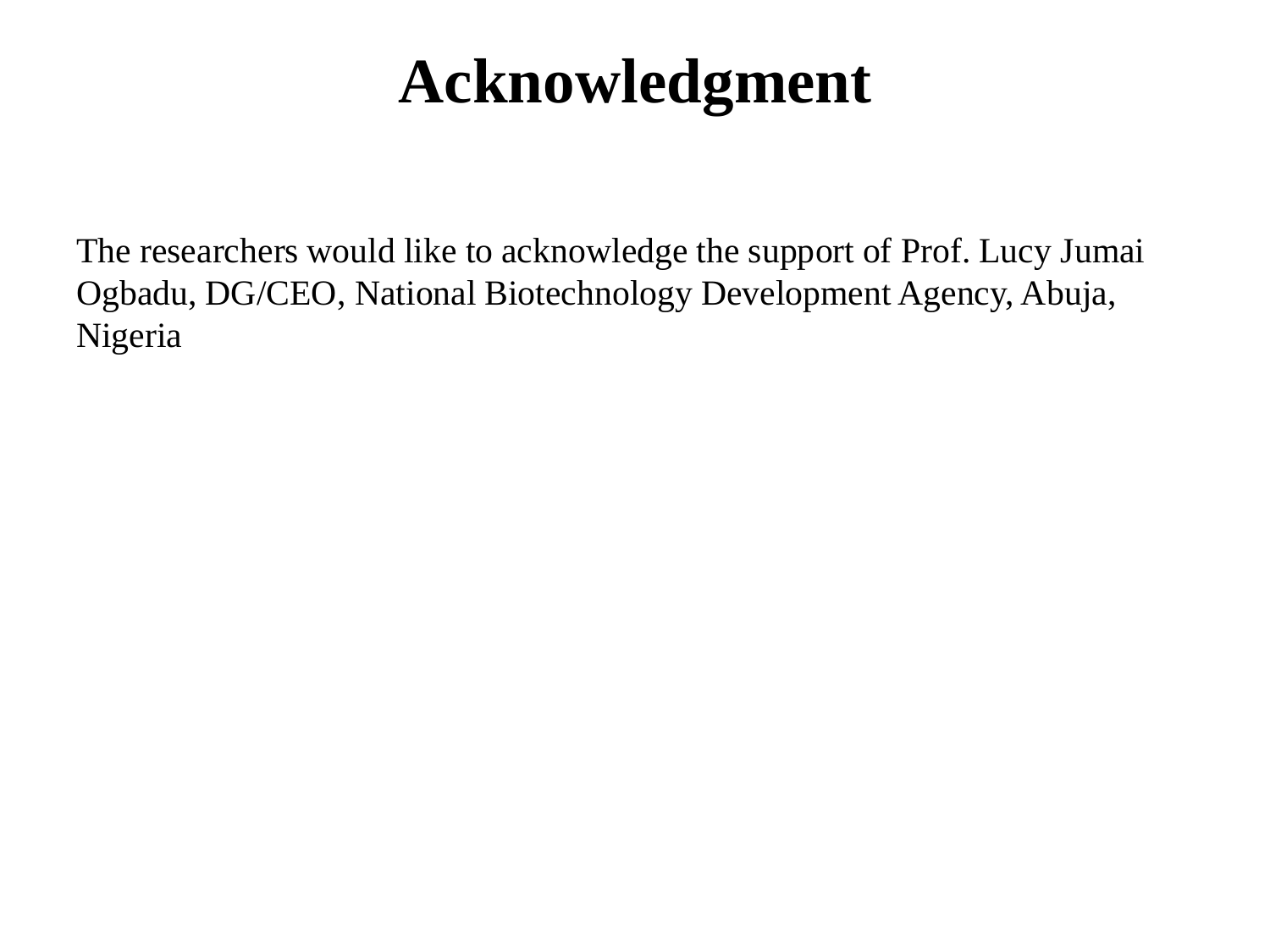## **Acknowledgment**

The researchers would like to acknowledge the support of Prof. Lucy Jumai Ogbadu, DG/CEO, National Biotechnology Development Agency, Abuja, Nigeria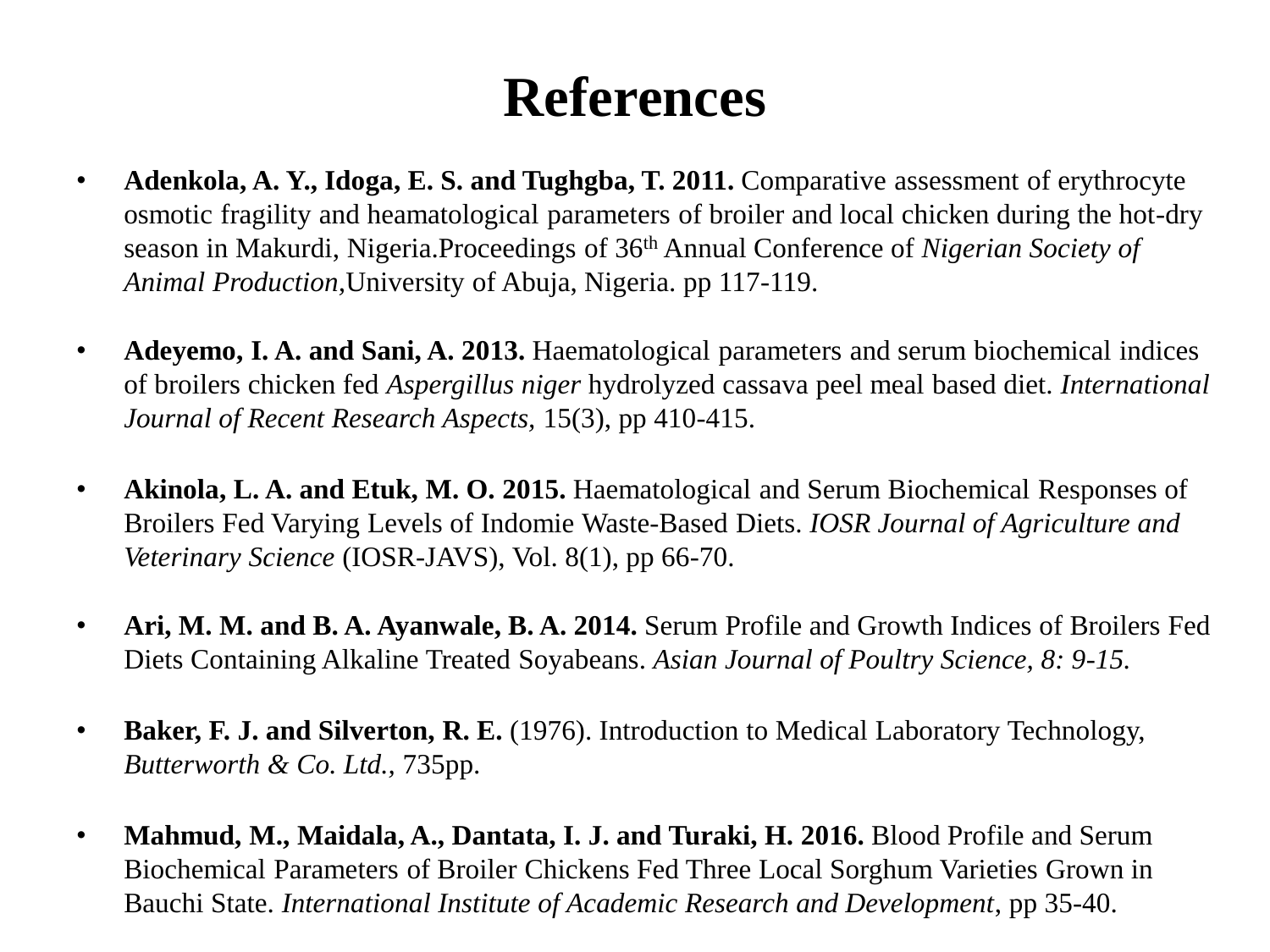## **References**

- **Adenkola, A. Y., Idoga, E. S. and Tughgba, T. 2011.** Comparative assessment of erythrocyte osmotic fragility and heamatological parameters of broiler and local chicken during the hot-dry season in Makurdi, Nigeria.Proceedings of 36th Annual Conference of *Nigerian Society of Animal Production,*University of Abuja, Nigeria. pp 117-119.
- **Adeyemo, I. A. and Sani, A. 2013.** Haematological parameters and serum biochemical indices of broilers chicken fed *Aspergillus niger* hydrolyzed cassava peel meal based diet. *International Journal of Recent Research Aspects,* 15(3), pp 410-415.
- **Akinola, L. A. and Etuk, M. O. 2015.** Haematological and Serum Biochemical Responses of Broilers Fed Varying Levels of Indomie Waste-Based Diets. *IOSR Journal of Agriculture and Veterinary Science* (IOSR-JAVS), Vol. 8(1), pp 66-70.
- **Ari, M. M. and B. A. Ayanwale, B. A. 2014.** Serum Profile and Growth Indices of Broilers Fed Diets Containing Alkaline Treated Soyabeans. *Asian Journal of Poultry Science, 8: 9-15.*
- **Baker, F. J. and Silverton, R. E.** (1976). Introduction to Medical Laboratory Technology, *Butterworth & Co. Ltd.,* 735pp.
- **Mahmud, M., Maidala, A., Dantata, I. J. and Turaki, H. 2016.** Blood Profile and Serum Biochemical Parameters of Broiler Chickens Fed Three Local Sorghum Varieties Grown in Bauchi State. *International Institute of Academic Research and Development*, pp 35-40.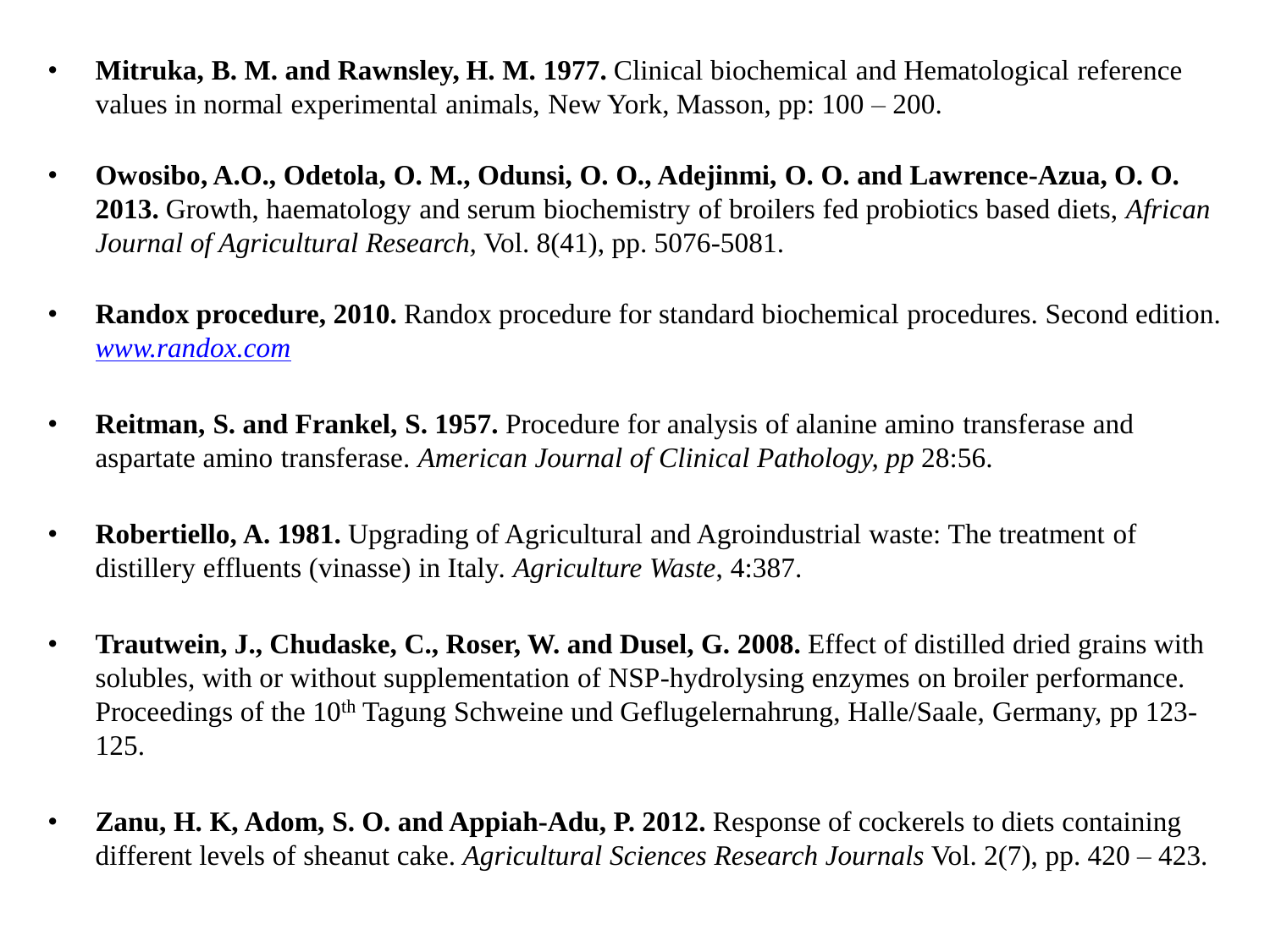- **Mitruka, B. M. and Rawnsley, H. M. 1977.** Clinical biochemical and Hematological reference values in normal experimental animals, New York, Masson, pp: 100 – 200.
- **Owosibo, A.O., Odetola, O. M., Odunsi, O. O., Adejinmi, O. O. and Lawrence-Azua, O. O. 2013.** Growth, haematology and serum biochemistry of broilers fed probiotics based diets, *African Journal of Agricultural Research,* Vol. 8(41), pp. 5076-5081.
- **Randox procedure, 2010.** Randox procedure for standard biochemical procedures. Second edition. *[www.randox.com](http://www.randox.com/)*
- **Reitman, S. and Frankel, S. 1957.** Procedure for analysis of alanine amino transferase and aspartate amino transferase. *American Journal of Clinical Pathology, pp* 28:56.
- **Robertiello, A. 1981.** Upgrading of Agricultural and Agroindustrial waste: The treatment of distillery effluents (vinasse) in Italy*. Agriculture Waste*, 4:387.
- **Trautwein, J., Chudaske, C., Roser, W. and Dusel, G. 2008.** Effect of distilled dried grains with solubles, with or without supplementation of NSP-hydrolysing enzymes on broiler performance. Proceedings of the 10<sup>th</sup> Tagung Schweine und Geflugelernahrung, Halle/Saale, Germany, pp 123-125.
- **Zanu, H. K, Adom, S. O. and Appiah-Adu, P. 2012.** Response of cockerels to diets containing different levels of sheanut cake. *Agricultural Sciences Research Journals* Vol. 2(7), pp. 420 – 423.